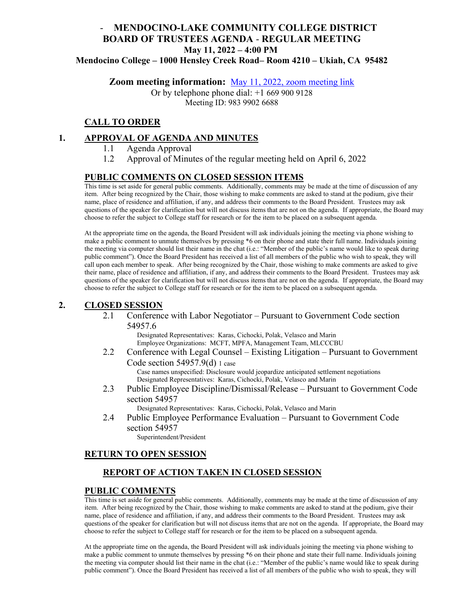# - **MENDOCINO-LAKE COMMUNITY COLLEGE DISTRICT BOARD OF TRUSTEES AGENDA** - **REGULAR MEETING May 11, 2022 – 4:00 PM**

**Mendocino College – 1000 Hensley Creek Road– Room 4210 – Ukiah, CA 95482** 

**Zoom meeting information:** [May 11, 2022, zoom meeting link](https://mendocino-edu.zoom.us/j/98399026688) 

Or by telephone phone dial: +1 669 900 9128 Meeting ID: 983 9902 6688

# **CALL TO ORDER**

### **1. APPROVAL OF AGENDA AND MINUTES**

- 1.1 Agenda Approval
- 1.2 Approval of Minutes of the regular meeting held on April 6, 2022

### **PUBLIC COMMENTS ON CLOSED SESSION ITEMS**

This time is set aside for general public comments. Additionally, comments may be made at the time of discussion of any item. After being recognized by the Chair, those wishing to make comments are asked to stand at the podium, give their name, place of residence and affiliation, if any, and address their comments to the Board President. Trustees may ask questions of the speaker for clarification but will not discuss items that are not on the agenda. If appropriate, the Board may choose to refer the subject to College staff for research or for the item to be placed on a subsequent agenda.

At the appropriate time on the agenda, the Board President will ask individuals joining the meeting via phone wishing to make a public comment to unmute themselves by pressing \*6 on their phone and state their full name. Individuals joining the meeting via computer should list their name in the chat (i.e.: "Member of the public's name would like to speak during public comment"). Once the Board President has received a list of all members of the public who wish to speak, they will call upon each member to speak. After being recognized by the Chair, those wishing to make comments are asked to give their name, place of residence and affiliation, if any, and address their comments to the Board President. Trustees may ask questions of the speaker for clarification but will not discuss items that are not on the agenda. If appropriate, the Board may choose to refer the subject to College staff for research or for the item to be placed on a subsequent agenda.

### **2. CLOSED SESSION**

2.1 Conference with Labor Negotiator – Pursuant to Government Code section 54957.6

> Designated Representatives: Karas, Cichocki, Polak, Velasco and Marin Employee Organizations: MCFT, MPFA, Management Team, MLCCCBU

- 2.2 Conference with Legal Counsel Existing Litigation Pursuant to Government Code section  $54957.9(d)$  1 case Case names unspecified: Disclosure would jeopardize anticipated settlement negotiations Designated Representatives: Karas, Cichocki, Polak, Velasco and Marin
- 2.3 Public Employee Discipline/Dismissal/Release Pursuant to Government Code section 54957

Designated Representatives: Karas, Cichocki, Polak, Velasco and Marin

2.4 Public Employee Performance Evaluation – Pursuant to Government Code section 54957

Superintendent/President

### **RETURN TO OPEN SESSION**

# **REPORT OF ACTION TAKEN IN CLOSED SESSION**

#### **PUBLIC COMMENTS**

This time is set aside for general public comments. Additionally, comments may be made at the time of discussion of any item. After being recognized by the Chair, those wishing to make comments are asked to stand at the podium, give their name, place of residence and affiliation, if any, and address their comments to the Board President. Trustees may ask questions of the speaker for clarification but will not discuss items that are not on the agenda. If appropriate, the Board may choose to refer the subject to College staff for research or for the item to be placed on a subsequent agenda.

At the appropriate time on the agenda, the Board President will ask individuals joining the meeting via phone wishing to make a public comment to unmute themselves by pressing \*6 on their phone and state their full name. Individuals joining the meeting via computer should list their name in the chat (i.e.: "Member of the public's name would like to speak during public comment"). Once the Board President has received a list of all members of the public who wish to speak, they will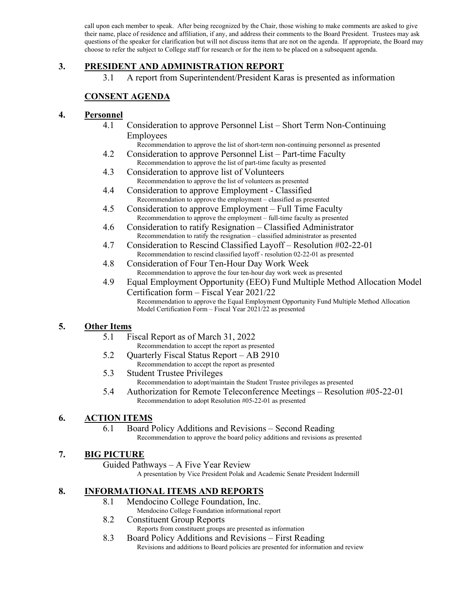call upon each member to speak. After being recognized by the Chair, those wishing to make comments are asked to give their name, place of residence and affiliation, if any, and address their comments to the Board President. Trustees may ask questions of the speaker for clarification but will not discuss items that are not on the agenda. If appropriate, the Board may choose to refer the subject to College staff for research or for the item to be placed on a subsequent agenda.

# **3. PRESIDENT AND ADMINISTRATION REPORT**

3.1 A report from Superintendent/President Karas is presented as information

# **CONSENT AGENDA**

#### **4. Personnel**

4.1 Consideration to approve Personnel List – Short Term Non-Continuing Employees

Recommendation to approve the list of short-term non-continuing personnel as presented

- 4.2 Consideration to approve Personnel List Part-time Faculty Recommendation to approve the list of part-time faculty as presented
- 4.3 Consideration to approve list of Volunteers Recommendation to approve the list of volunteers as presented
- 4.4 Consideration to approve Employment Classified Recommendation to approve the employment – classified as presented
- 4.5 Consideration to approve Employment Full Time Faculty Recommendation to approve the employment – full-time faculty as presented
- 4.6 Consideration to ratify Resignation Classified Administrator Recommendation to ratify the resignation – classified administrator as presented
- 4.7 Consideration to Rescind Classified Layoff Resolution #02-22-01 Recommendation to rescind classified layoff - resolution 02-22-01 as presented
- 4.8 Consideration of Four Ten-Hour Day Work Week Recommendation to approve the four ten-hour day work week as presented
- 4.9 Equal Employment Opportunity (EEO) Fund Multiple Method Allocation Model Certification form – Fiscal Year 2021/22 Recommendation to approve the Equal Employment Opportunity Fund Multiple Method Allocation Model Certification Form – Fiscal Year 2021/22 as presented

### **5. Other Items**

- 5.1 Fiscal Report as of March 31, 2022
	- Recommendation to accept the report as presented
- 5.2 Quarterly Fiscal Status Report AB 2910 Recommendation to accept the report as presented
- 5.3 Student Trustee Privileges Recommendation to adopt/maintain the Student Trustee privileges as presented
- 5.4 Authorization for Remote Teleconference Meetings Resolution #05-22-01 Recommendation to adopt Resolution #05-22-01 as presented

### **6. ACTION ITEMS**

# 6.1 Board Policy Additions and Revisions – Second Reading

Recommendation to approve the board policy additions and revisions as presented

# **7. BIG PICTURE**

Guided Pathways – A Five Year Review

A presentation by Vice President Polak and Academic Senate President Indermill

### **8. INFORMATIONAL ITEMS AND REPORTS**

- 8.1 Mendocino College Foundation, Inc.
	- Mendocino College Foundation informational report
- 8.2 Constituent Group Reports
	- Reports from constituent groups are presented as information
- 8.3 Board Policy Additions and Revisions First Reading Revisions and additions to Board policies are presented for information and review